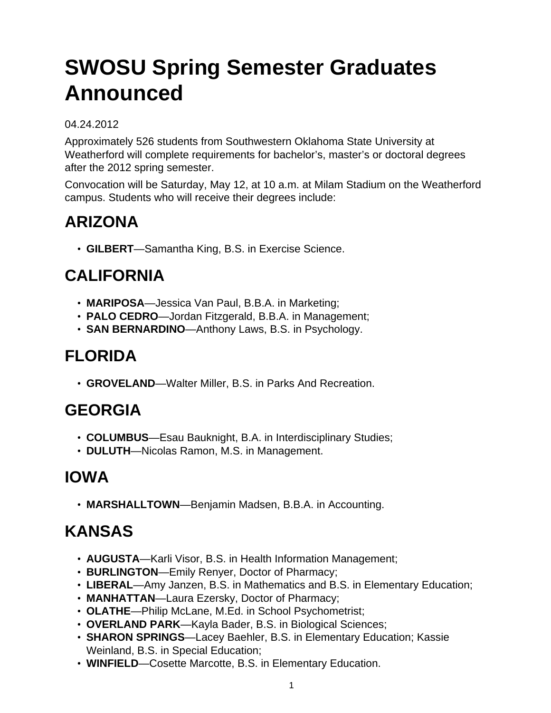# **SWOSU Spring Semester Graduates Announced**

#### 04.24.2012

Approximately 526 students from Southwestern Oklahoma State University at Weatherford will complete requirements for bachelor's, master's or doctoral degrees after the 2012 spring semester.

Convocation will be Saturday, May 12, at 10 a.m. at Milam Stadium on the Weatherford campus. Students who will receive their degrees include:

# **ARIZONA**

• **GILBERT**—Samantha King, B.S. in Exercise Science.

#### **CALIFORNIA**

- **MARIPOSA**—Jessica Van Paul, B.B.A. in Marketing;
- **PALO CEDRO**—Jordan Fitzgerald, B.B.A. in Management;
- **SAN BERNARDINO**—Anthony Laws, B.S. in Psychology.

### **FLORIDA**

• **GROVELAND**—Walter Miller, B.S. in Parks And Recreation.

#### **GEORGIA**

- **COLUMBUS**—Esau Bauknight, B.A. in Interdisciplinary Studies;
- **DULUTH**—Nicolas Ramon, M.S. in Management.

#### **IOWA**

• **MARSHALLTOWN**—Benjamin Madsen, B.B.A. in Accounting.

#### **KANSAS**

- **AUGUSTA**—Karli Visor, B.S. in Health Information Management;
- **BURLINGTON**—Emily Renyer, Doctor of Pharmacy;
- **LIBERAL**—Amy Janzen, B.S. in Mathematics and B.S. in Elementary Education;
- **MANHATTAN**—Laura Ezersky, Doctor of Pharmacy;
- **OLATHE**—Philip McLane, M.Ed. in School Psychometrist;
- **OVERLAND PARK**—Kayla Bader, B.S. in Biological Sciences;
- **SHARON SPRINGS**—Lacey Baehler, B.S. in Elementary Education; Kassie Weinland, B.S. in Special Education;
- **WINFIELD**—Cosette Marcotte, B.S. in Elementary Education.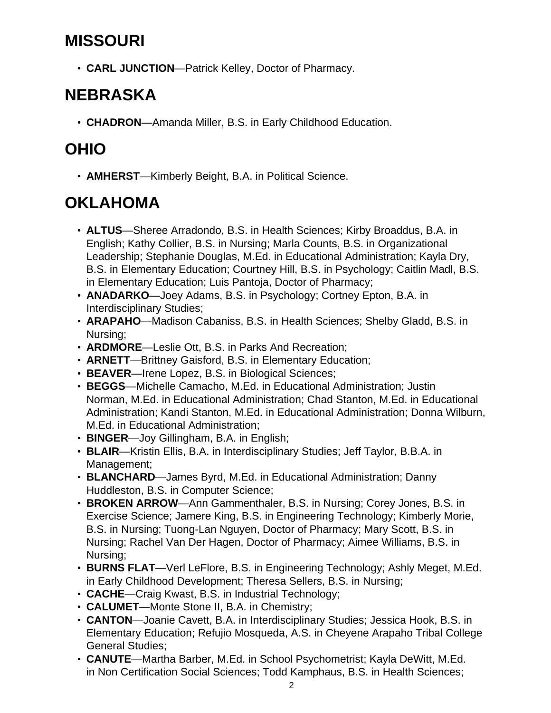#### **MISSOURI**

• **CARL JUNCTION**—Patrick Kelley, Doctor of Pharmacy.

### **NEBRASKA**

• **CHADRON**—Amanda Miller, B.S. in Early Childhood Education.

### **OHIO**

• **AMHERST**—Kimberly Beight, B.A. in Political Science.

# **OKLAHOMA**

- **ALTUS**—Sheree Arradondo, B.S. in Health Sciences; Kirby Broaddus, B.A. in English; Kathy Collier, B.S. in Nursing; Marla Counts, B.S. in Organizational Leadership; Stephanie Douglas, M.Ed. in Educational Administration; Kayla Dry, B.S. in Elementary Education; Courtney Hill, B.S. in Psychology; Caitlin Madl, B.S. in Elementary Education; Luis Pantoja, Doctor of Pharmacy;
- **ANADARKO**—Joey Adams, B.S. in Psychology; Cortney Epton, B.A. in Interdisciplinary Studies;
- **ARAPAHO**—Madison Cabaniss, B.S. in Health Sciences; Shelby Gladd, B.S. in Nursing;
- **ARDMORE**—Leslie Ott, B.S. in Parks And Recreation;
- **ARNETT**—Brittney Gaisford, B.S. in Elementary Education;
- **BEAVER**—Irene Lopez, B.S. in Biological Sciences;
- **BEGGS**—Michelle Camacho, M.Ed. in Educational Administration; Justin Norman, M.Ed. in Educational Administration; Chad Stanton, M.Ed. in Educational Administration; Kandi Stanton, M.Ed. in Educational Administration; Donna Wilburn, M.Ed. in Educational Administration;
- **BINGER**—Joy Gillingham, B.A. in English;
- **BLAIR**—Kristin Ellis, B.A. in Interdisciplinary Studies; Jeff Taylor, B.B.A. in Management;
- **BLANCHARD**—James Byrd, M.Ed. in Educational Administration; Danny Huddleston, B.S. in Computer Science;
- **BROKEN ARROW**—Ann Gammenthaler, B.S. in Nursing; Corey Jones, B.S. in Exercise Science; Jamere King, B.S. in Engineering Technology; Kimberly Morie, B.S. in Nursing; Tuong-Lan Nguyen, Doctor of Pharmacy; Mary Scott, B.S. in Nursing; Rachel Van Der Hagen, Doctor of Pharmacy; Aimee Williams, B.S. in Nursing;
- **BURNS FLAT**—Verl LeFlore, B.S. in Engineering Technology; Ashly Meget, M.Ed. in Early Childhood Development; Theresa Sellers, B.S. in Nursing;
- **CACHE**—Craig Kwast, B.S. in Industrial Technology;
- **CALUMET**—Monte Stone II, B.A. in Chemistry;
- **CANTON**—Joanie Cavett, B.A. in Interdisciplinary Studies; Jessica Hook, B.S. in Elementary Education; Refujio Mosqueda, A.S. in Cheyene Arapaho Tribal College General Studies;
- **CANUTE**—Martha Barber, M.Ed. in School Psychometrist; Kayla DeWitt, M.Ed. in Non Certification Social Sciences; Todd Kamphaus, B.S. in Health Sciences;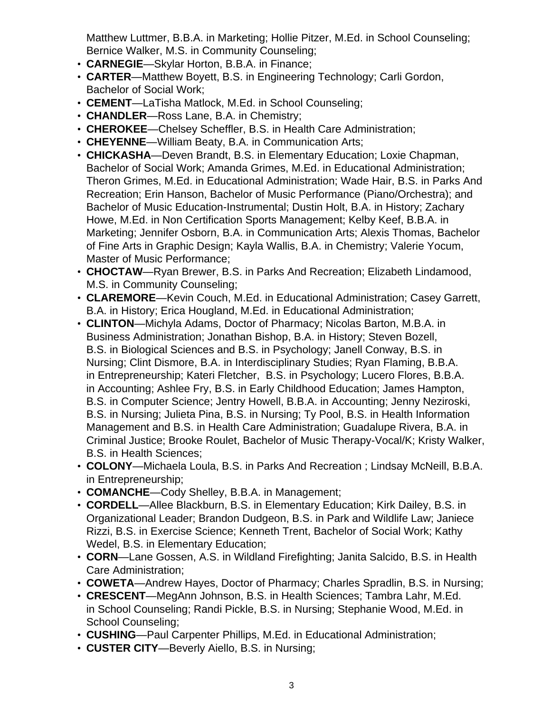Matthew Luttmer, B.B.A. in Marketing; Hollie Pitzer, M.Ed. in School Counseling; Bernice Walker, M.S. in Community Counseling;

- **CARNEGIE**—Skylar Horton, B.B.A. in Finance;
- **CARTER**—Matthew Boyett, B.S. in Engineering Technology; Carli Gordon, Bachelor of Social Work;
- **CEMENT**—LaTisha Matlock, M.Ed. in School Counseling;
- **CHANDLER**—Ross Lane, B.A. in Chemistry;
- **CHEROKEE**—Chelsey Scheffler, B.S. in Health Care Administration;
- **CHEYENNE**—William Beaty, B.A. in Communication Arts;
- **CHICKASHA**—Deven Brandt, B.S. in Elementary Education; Loxie Chapman, Bachelor of Social Work; Amanda Grimes, M.Ed. in Educational Administration; Theron Grimes, M.Ed. in Educational Administration; Wade Hair, B.S. in Parks And Recreation; Erin Hanson, Bachelor of Music Performance (Piano/Orchestra); and Bachelor of Music Education-Instrumental; Dustin Holt, B.A. in History; Zachary Howe, M.Ed. in Non Certification Sports Management; Kelby Keef, B.B.A. in Marketing; Jennifer Osborn, B.A. in Communication Arts; Alexis Thomas, Bachelor of Fine Arts in Graphic Design; Kayla Wallis, B.A. in Chemistry; Valerie Yocum, Master of Music Performance;
- **CHOCTAW**—Ryan Brewer, B.S. in Parks And Recreation; Elizabeth Lindamood, M.S. in Community Counseling;
- **CLAREMORE**—Kevin Couch, M.Ed. in Educational Administration; Casey Garrett, B.A. in History; Erica Hougland, M.Ed. in Educational Administration;
- **CLINTON**—Michyla Adams, Doctor of Pharmacy; Nicolas Barton, M.B.A. in Business Administration; Jonathan Bishop, B.A. in History; Steven Bozell, B.S. in Biological Sciences and B.S. in Psychology; Janell Conway, B.S. in Nursing; Clint Dismore, B.A. in Interdisciplinary Studies; Ryan Flaming, B.B.A. in Entrepreneurship; Kateri Fletcher, B.S. in Psychology; Lucero Flores, B.B.A. in Accounting; Ashlee Fry, B.S. in Early Childhood Education; James Hampton, B.S. in Computer Science; Jentry Howell, B.B.A. in Accounting; Jenny Neziroski, B.S. in Nursing; Julieta Pina, B.S. in Nursing; Ty Pool, B.S. in Health Information Management and B.S. in Health Care Administration; Guadalupe Rivera, B.A. in Criminal Justice; Brooke Roulet, Bachelor of Music Therapy-Vocal/K; Kristy Walker, B.S. in Health Sciences;
- **COLONY**—Michaela Loula, B.S. in Parks And Recreation ; Lindsay McNeill, B.B.A. in Entrepreneurship;
- **COMANCHE**—Cody Shelley, B.B.A. in Management;
- **CORDELL**—Allee Blackburn, B.S. in Elementary Education; Kirk Dailey, B.S. in Organizational Leader; Brandon Dudgeon, B.S. in Park and Wildlife Law; Janiece Rizzi, B.S. in Exercise Science; Kenneth Trent, Bachelor of Social Work; Kathy Wedel, B.S. in Elementary Education;
- **CORN**—Lane Gossen, A.S. in Wildland Firefighting; Janita Salcido, B.S. in Health Care Administration;
- **COWETA**—Andrew Hayes, Doctor of Pharmacy; Charles Spradlin, B.S. in Nursing;
- **CRESCENT**—MegAnn Johnson, B.S. in Health Sciences; Tambra Lahr, M.Ed. in School Counseling; Randi Pickle, B.S. in Nursing; Stephanie Wood, M.Ed. in School Counseling;
- **CUSHING**—Paul Carpenter Phillips, M.Ed. in Educational Administration;
- **CUSTER CITY**—Beverly Aiello, B.S. in Nursing;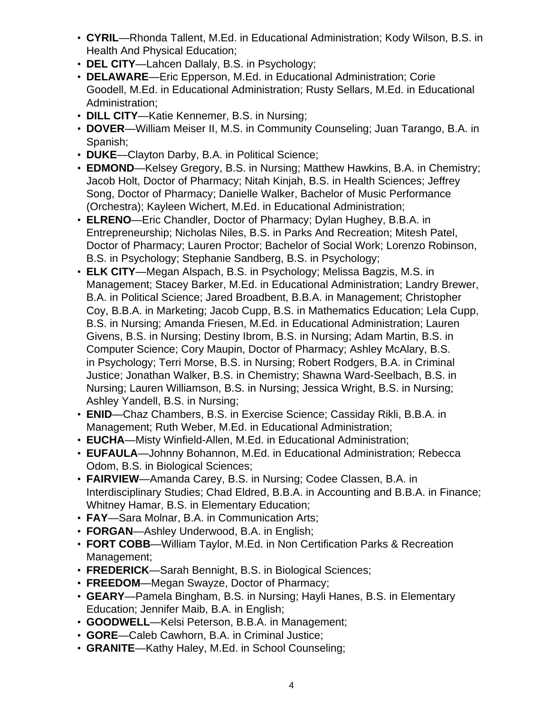- **CYRIL**—Rhonda Tallent, M.Ed. in Educational Administration; Kody Wilson, B.S. in Health And Physical Education;
- **DEL CITY**—Lahcen Dallaly, B.S. in Psychology;
- **DELAWARE**—Eric Epperson, M.Ed. in Educational Administration; Corie Goodell, M.Ed. in Educational Administration; Rusty Sellars, M.Ed. in Educational Administration;
- **DILL CITY**—Katie Kennemer, B.S. in Nursing;
- **DOVER**—William Meiser II, M.S. in Community Counseling; Juan Tarango, B.A. in Spanish;
- **DUKE**—Clayton Darby, B.A. in Political Science;
- **EDMOND**—Kelsey Gregory, B.S. in Nursing; Matthew Hawkins, B.A. in Chemistry; Jacob Holt, Doctor of Pharmacy; Nitah Kinjah, B.S. in Health Sciences; Jeffrey Song, Doctor of Pharmacy; Danielle Walker, Bachelor of Music Performance (Orchestra); Kayleen Wichert, M.Ed. in Educational Administration;
- **ELRENO**—Eric Chandler, Doctor of Pharmacy; Dylan Hughey, B.B.A. in Entrepreneurship; Nicholas Niles, B.S. in Parks And Recreation; Mitesh Patel, Doctor of Pharmacy; Lauren Proctor; Bachelor of Social Work; Lorenzo Robinson, B.S. in Psychology; Stephanie Sandberg, B.S. in Psychology;
- **ELK CITY**—Megan Alspach, B.S. in Psychology; Melissa Bagzis, M.S. in Management; Stacey Barker, M.Ed. in Educational Administration; Landry Brewer, B.A. in Political Science; Jared Broadbent, B.B.A. in Management; Christopher Coy, B.B.A. in Marketing; Jacob Cupp, B.S. in Mathematics Education; Lela Cupp, B.S. in Nursing; Amanda Friesen, M.Ed. in Educational Administration; Lauren Givens, B.S. in Nursing; Destiny Ibrom, B.S. in Nursing; Adam Martin, B.S. in Computer Science; Cory Maupin, Doctor of Pharmacy; Ashley McAlary, B.S. in Psychology; Terri Morse, B.S. in Nursing; Robert Rodgers, B.A. in Criminal Justice; Jonathan Walker, B.S. in Chemistry; Shawna Ward-Seelbach, B.S. in Nursing; Lauren Williamson, B.S. in Nursing; Jessica Wright, B.S. in Nursing; Ashley Yandell, B.S. in Nursing;
- **ENID**—Chaz Chambers, B.S. in Exercise Science; Cassiday Rikli, B.B.A. in Management; Ruth Weber, M.Ed. in Educational Administration;
- **EUCHA**—Misty Winfield-Allen, M.Ed. in Educational Administration;
- **EUFAULA**—Johnny Bohannon, M.Ed. in Educational Administration; Rebecca Odom, B.S. in Biological Sciences;
- **FAIRVIEW**—Amanda Carey, B.S. in Nursing; Codee Classen, B.A. in Interdisciplinary Studies; Chad Eldred, B.B.A. in Accounting and B.B.A. in Finance; Whitney Hamar, B.S. in Elementary Education;
- **FAY**—Sara Molnar, B.A. in Communication Arts;
- **FORGAN**—Ashley Underwood, B.A. in English;
- **FORT COBB**—William Taylor, M.Ed. in Non Certification Parks & Recreation Management;
- **FREDERICK**—Sarah Bennight, B.S. in Biological Sciences;
- **FREEDOM**—Megan Swayze, Doctor of Pharmacy;
- **GEARY**—Pamela Bingham, B.S. in Nursing; Hayli Hanes, B.S. in Elementary Education; Jennifer Maib, B.A. in English;
- **GOODWELL**—Kelsi Peterson, B.B.A. in Management;
- **GORE**—Caleb Cawhorn, B.A. in Criminal Justice;
- **GRANITE**—Kathy Haley, M.Ed. in School Counseling;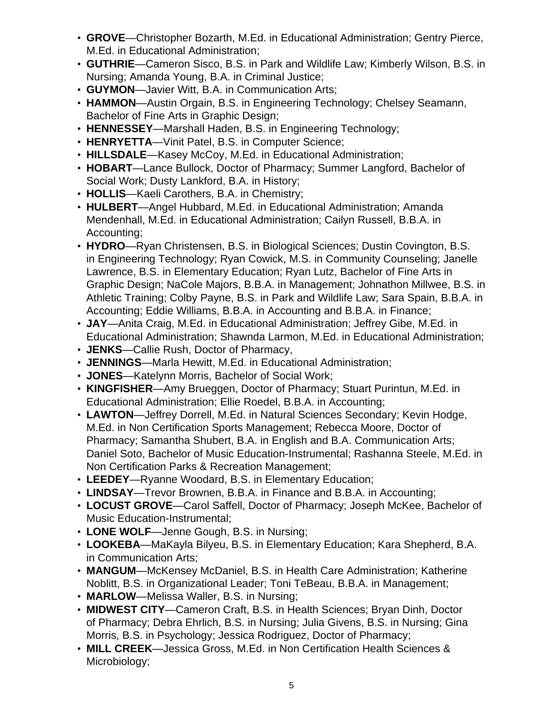- **GROVE**—Christopher Bozarth, M.Ed. in Educational Administration; Gentry Pierce, M.Ed. in Educational Administration;
- **GUTHRIE**—Cameron Sisco, B.S. in Park and Wildlife Law; Kimberly Wilson, B.S. in Nursing; Amanda Young, B.A. in Criminal Justice;
- **GUYMON**—Javier Witt, B.A. in Communication Arts;
- **HAMMON**—Austin Orgain, B.S. in Engineering Technology; Chelsey Seamann, Bachelor of Fine Arts in Graphic Design;
- **HENNESSEY**—Marshall Haden, B.S. in Engineering Technology;
- **HENRYETTA**—Vinit Patel, B.S. in Computer Science;
- **HILLSDALE**—Kasey McCoy, M.Ed. in Educational Administration;
- **HOBART**—Lance Bullock, Doctor of Pharmacy; Summer Langford, Bachelor of Social Work; Dusty Lankford, B.A. in History;
- **HOLLIS**—Kaeli Carothers, B.A. in Chemistry;
- **HULBERT**—Angel Hubbard, M.Ed. in Educational Administration; Amanda Mendenhall, M.Ed. in Educational Administration; Cailyn Russell, B.B.A. in Accounting;
- **HYDRO**—Ryan Christensen, B.S. in Biological Sciences; Dustin Covington, B.S. in Engineering Technology; Ryan Cowick, M.S. in Community Counseling; Janelle Lawrence, B.S. in Elementary Education; Ryan Lutz, Bachelor of Fine Arts in Graphic Design; NaCole Majors, B.B.A. in Management; Johnathon Millwee, B.S. in Athletic Training; Colby Payne, B.S. in Park and Wildlife Law; Sara Spain, B.B.A. in Accounting; Eddie Williams, B.B.A. in Accounting and B.B.A. in Finance;
- **JAY**—Anita Craig, M.Ed. in Educational Administration; Jeffrey Gibe, M.Ed. in Educational Administration; Shawnda Larmon, M.Ed. in Educational Administration;
- **JENKS**—Callie Rush, Doctor of Pharmacy,
- **JENNINGS**—Marla Hewitt, M.Ed. in Educational Administration;
- **JONES**—Katelynn Morris, Bachelor of Social Work;
- **KINGFISHER**—Amy Brueggen, Doctor of Pharmacy; Stuart Purintun, M.Ed. in Educational Administration; Ellie Roedel, B.B.A. in Accounting;
- **LAWTON**—Jeffrey Dorrell, M.Ed. in Natural Sciences Secondary; Kevin Hodge, M.Ed. in Non Certification Sports Management; Rebecca Moore, Doctor of Pharmacy; Samantha Shubert, B.A. in English and B.A. Communication Arts; Daniel Soto, Bachelor of Music Education-Instrumental; Rashanna Steele, M.Ed. in Non Certification Parks & Recreation Management;
- **LEEDEY**—Ryanne Woodard, B.S. in Elementary Education;
- **LINDSAY**—Trevor Brownen, B.B.A. in Finance and B.B.A. in Accounting;
- **LOCUST GROVE**—Carol Saffell, Doctor of Pharmacy; Joseph McKee, Bachelor of Music Education-Instrumental;
- **LONE WOLF**—Jenne Gough, B.S. in Nursing;
- **LOOKEBA**—MaKayla Bilyeu, B.S. in Elementary Education; Kara Shepherd, B.A. in Communication Arts;
- **MANGUM**—McKensey McDaniel, B.S. in Health Care Administration; Katherine Noblitt, B.S. in Organizational Leader; Toni TeBeau, B.B.A. in Management;
- **MARLOW**—Melissa Waller, B.S. in Nursing;
- **MIDWEST CITY**—Cameron Craft, B.S. in Health Sciences; Bryan Dinh, Doctor of Pharmacy; Debra Ehrlich, B.S. in Nursing; Julia Givens, B.S. in Nursing; Gina Morris, B.S. in Psychology; Jessica Rodriguez, Doctor of Pharmacy;
- **MILL CREEK**—Jessica Gross, M.Ed. in Non Certification Health Sciences & Microbiology;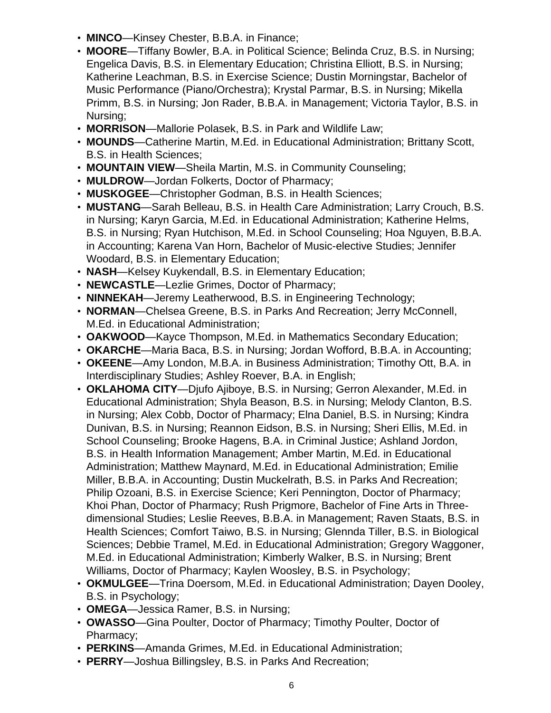- **MINCO**—Kinsey Chester, B.B.A. in Finance;
- **MOORE**—Tiffany Bowler, B.A. in Political Science; Belinda Cruz, B.S. in Nursing; Engelica Davis, B.S. in Elementary Education; Christina Elliott, B.S. in Nursing; Katherine Leachman, B.S. in Exercise Science; Dustin Morningstar, Bachelor of Music Performance (Piano/Orchestra); Krystal Parmar, B.S. in Nursing; Mikella Primm, B.S. in Nursing; Jon Rader, B.B.A. in Management; Victoria Taylor, B.S. in Nursing;
- **MORRISON**—Mallorie Polasek, B.S. in Park and Wildlife Law;
- **MOUNDS**—Catherine Martin, M.Ed. in Educational Administration; Brittany Scott, B.S. in Health Sciences;
- **MOUNTAIN VIEW**—Sheila Martin, M.S. in Community Counseling;
- **MULDROW**—Jordan Folkerts, Doctor of Pharmacy;
- **MUSKOGEE**—Christopher Godman, B.S. in Health Sciences;
- **MUSTANG**—Sarah Belleau, B.S. in Health Care Administration; Larry Crouch, B.S. in Nursing; Karyn Garcia, M.Ed. in Educational Administration; Katherine Helms, B.S. in Nursing; Ryan Hutchison, M.Ed. in School Counseling; Hoa Nguyen, B.B.A. in Accounting; Karena Van Horn, Bachelor of Music-elective Studies; Jennifer Woodard, B.S. in Elementary Education;
- **NASH**—Kelsey Kuykendall, B.S. in Elementary Education;
- **NEWCASTLE**—Lezlie Grimes, Doctor of Pharmacy;
- **NINNEKAH**—Jeremy Leatherwood, B.S. in Engineering Technology;
- **NORMAN**—Chelsea Greene, B.S. in Parks And Recreation; Jerry McConnell, M.Ed. in Educational Administration;
- **OAKWOOD**—Kayce Thompson, M.Ed. in Mathematics Secondary Education;
- **OKARCHE**—Maria Baca, B.S. in Nursing; Jordan Wofford, B.B.A. in Accounting;
- **OKEENE**—Amy London, M.B.A. in Business Administration; Timothy Ott, B.A. in Interdisciplinary Studies; Ashley Roever, B.A. in English;
- **OKLAHOMA CITY**—Djufo Ajiboye, B.S. in Nursing; Gerron Alexander, M.Ed. in Educational Administration; Shyla Beason, B.S. in Nursing; Melody Clanton, B.S. in Nursing; Alex Cobb, Doctor of Pharmacy; Elna Daniel, B.S. in Nursing; Kindra Dunivan, B.S. in Nursing; Reannon Eidson, B.S. in Nursing; Sheri Ellis, M.Ed. in School Counseling; Brooke Hagens, B.A. in Criminal Justice; Ashland Jordon, B.S. in Health Information Management; Amber Martin, M.Ed. in Educational Administration; Matthew Maynard, M.Ed. in Educational Administration; Emilie Miller, B.B.A. in Accounting; Dustin Muckelrath, B.S. in Parks And Recreation; Philip Ozoani, B.S. in Exercise Science; Keri Pennington, Doctor of Pharmacy; Khoi Phan, Doctor of Pharmacy; Rush Prigmore, Bachelor of Fine Arts in Threedimensional Studies; Leslie Reeves, B.B.A. in Management; Raven Staats, B.S. in Health Sciences; Comfort Taiwo, B.S. in Nursing; Glennda Tiller, B.S. in Biological Sciences; Debbie Tramel, M.Ed. in Educational Administration; Gregory Waggoner, M.Ed. in Educational Administration; Kimberly Walker, B.S. in Nursing; Brent Williams, Doctor of Pharmacy; Kaylen Woosley, B.S. in Psychology;
- **OKMULGEE**—Trina Doersom, M.Ed. in Educational Administration; Dayen Dooley, B.S. in Psychology;
- **OMEGA**—Jessica Ramer, B.S. in Nursing;
- **OWASSO**—Gina Poulter, Doctor of Pharmacy; Timothy Poulter, Doctor of Pharmacy;
- **PERKINS**—Amanda Grimes, M.Ed. in Educational Administration;
- **PERRY**—Joshua Billingsley, B.S. in Parks And Recreation;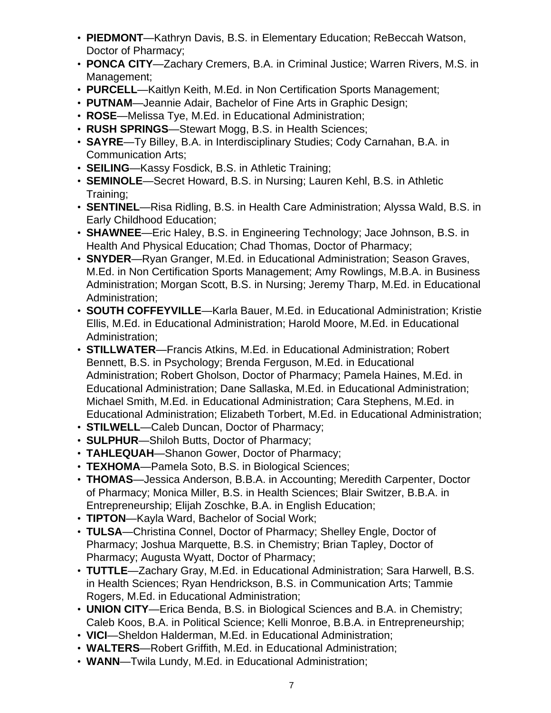- **PIEDMONT**—Kathryn Davis, B.S. in Elementary Education; ReBeccah Watson, Doctor of Pharmacy;
- **PONCA CITY**—Zachary Cremers, B.A. in Criminal Justice; Warren Rivers, M.S. in Management;
- **PURCELL**—Kaitlyn Keith, M.Ed. in Non Certification Sports Management;
- **PUTNAM**—Jeannie Adair, Bachelor of Fine Arts in Graphic Design;
- **ROSE**—Melissa Tye, M.Ed. in Educational Administration;
- **RUSH SPRINGS**—Stewart Mogg, B.S. in Health Sciences;
- **SAYRE**—Ty Billey, B.A. in Interdisciplinary Studies; Cody Carnahan, B.A. in Communication Arts;
- **SEILING**—Kassy Fosdick, B.S. in Athletic Training;
- **SEMINOLE**—Secret Howard, B.S. in Nursing; Lauren Kehl, B.S. in Athletic Training;
- **SENTINEL**—Risa Ridling, B.S. in Health Care Administration; Alyssa Wald, B.S. in Early Childhood Education;
- **SHAWNEE**—Eric Haley, B.S. in Engineering Technology; Jace Johnson, B.S. in Health And Physical Education; Chad Thomas, Doctor of Pharmacy;
- **SNYDER**—Ryan Granger, M.Ed. in Educational Administration; Season Graves, M.Ed. in Non Certification Sports Management; Amy Rowlings, M.B.A. in Business Administration; Morgan Scott, B.S. in Nursing; Jeremy Tharp, M.Ed. in Educational Administration;
- **SOUTH COFFEYVILLE**—Karla Bauer, M.Ed. in Educational Administration; Kristie Ellis, M.Ed. in Educational Administration; Harold Moore, M.Ed. in Educational Administration;
- **STILLWATER**—Francis Atkins, M.Ed. in Educational Administration; Robert Bennett, B.S. in Psychology; Brenda Ferguson, M.Ed. in Educational Administration; Robert Gholson, Doctor of Pharmacy; Pamela Haines, M.Ed. in Educational Administration; Dane Sallaska, M.Ed. in Educational Administration; Michael Smith, M.Ed. in Educational Administration; Cara Stephens, M.Ed. in Educational Administration; Elizabeth Torbert, M.Ed. in Educational Administration;
- **STILWELL**—Caleb Duncan, Doctor of Pharmacy;
- **SULPHUR**—Shiloh Butts, Doctor of Pharmacy;
- **TAHLEQUAH**—Shanon Gower, Doctor of Pharmacy;
- **TEXHOMA**—Pamela Soto, B.S. in Biological Sciences;
- **THOMAS**—Jessica Anderson, B.B.A. in Accounting; Meredith Carpenter, Doctor of Pharmacy; Monica Miller, B.S. in Health Sciences; Blair Switzer, B.B.A. in Entrepreneurship; Elijah Zoschke, B.A. in English Education;
- **TIPTON**—Kayla Ward, Bachelor of Social Work;
- **TULSA**—Christina Connel, Doctor of Pharmacy; Shelley Engle, Doctor of Pharmacy; Joshua Marquette, B.S. in Chemistry; Brian Tapley, Doctor of Pharmacy; Augusta Wyatt, Doctor of Pharmacy;
- **TUTTLE**—Zachary Gray, M.Ed. in Educational Administration; Sara Harwell, B.S. in Health Sciences; Ryan Hendrickson, B.S. in Communication Arts; Tammie Rogers, M.Ed. in Educational Administration;
- **UNION CITY**—Erica Benda, B.S. in Biological Sciences and B.A. in Chemistry; Caleb Koos, B.A. in Political Science; Kelli Monroe, B.B.A. in Entrepreneurship;
- **VICI**—Sheldon Halderman, M.Ed. in Educational Administration;
- **WALTERS**—Robert Griffith, M.Ed. in Educational Administration;
- **WANN**—Twila Lundy, M.Ed. in Educational Administration;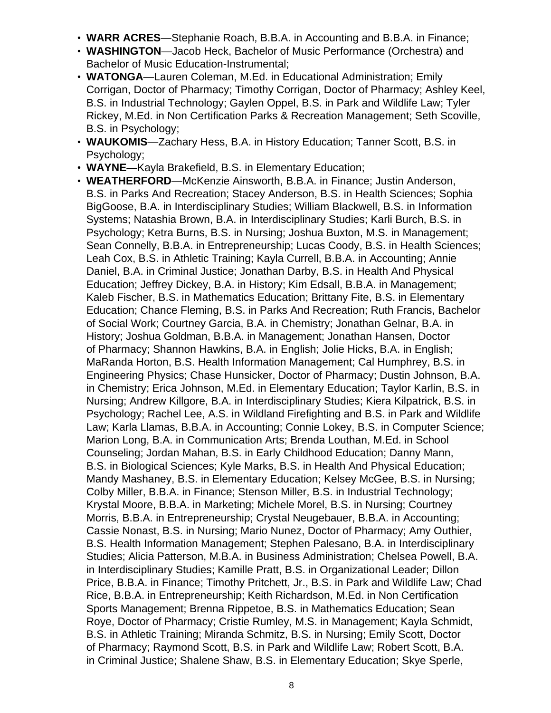- **WARR ACRES**—Stephanie Roach, B.B.A. in Accounting and B.B.A. in Finance;
- **WASHINGTON**—Jacob Heck, Bachelor of Music Performance (Orchestra) and Bachelor of Music Education-Instrumental;
- **WATONGA**—Lauren Coleman, M.Ed. in Educational Administration; Emily Corrigan, Doctor of Pharmacy; Timothy Corrigan, Doctor of Pharmacy; Ashley Keel, B.S. in Industrial Technology; Gaylen Oppel, B.S. in Park and Wildlife Law; Tyler Rickey, M.Ed. in Non Certification Parks & Recreation Management; Seth Scoville, B.S. in Psychology;
- **WAUKOMIS**—Zachary Hess, B.A. in History Education; Tanner Scott, B.S. in Psychology;
- **WAYNE**—Kayla Brakefield, B.S. in Elementary Education;
- **WEATHERFORD**—McKenzie Ainsworth, B.B.A. in Finance; Justin Anderson, B.S. in Parks And Recreation; Stacey Anderson, B.S. in Health Sciences; Sophia BigGoose, B.A. in Interdisciplinary Studies; William Blackwell, B.S. in Information Systems; Natashia Brown, B.A. in Interdisciplinary Studies; Karli Burch, B.S. in Psychology; Ketra Burns, B.S. in Nursing; Joshua Buxton, M.S. in Management; Sean Connelly, B.B.A. in Entrepreneurship; Lucas Coody, B.S. in Health Sciences; Leah Cox, B.S. in Athletic Training; Kayla Currell, B.B.A. in Accounting; Annie Daniel, B.A. in Criminal Justice; Jonathan Darby, B.S. in Health And Physical Education; Jeffrey Dickey, B.A. in History; Kim Edsall, B.B.A. in Management; Kaleb Fischer, B.S. in Mathematics Education; Brittany Fite, B.S. in Elementary Education; Chance Fleming, B.S. in Parks And Recreation; Ruth Francis, Bachelor of Social Work; Courtney Garcia, B.A. in Chemistry; Jonathan Gelnar, B.A. in History; Joshua Goldman, B.B.A. in Management; Jonathan Hansen, Doctor of Pharmacy; Shannon Hawkins, B.A. in English; Jolie Hicks, B.A. in English; MaRanda Horton, B.S. Health Information Management; Cal Humphrey, B.S. in Engineering Physics; Chase Hunsicker, Doctor of Pharmacy; Dustin Johnson, B.A. in Chemistry; Erica Johnson, M.Ed. in Elementary Education; Taylor Karlin, B.S. in Nursing; Andrew Killgore, B.A. in Interdisciplinary Studies; Kiera Kilpatrick, B.S. in Psychology; Rachel Lee, A.S. in Wildland Firefighting and B.S. in Park and Wildlife Law; Karla Llamas, B.B.A. in Accounting; Connie Lokey, B.S. in Computer Science; Marion Long, B.A. in Communication Arts; Brenda Louthan, M.Ed. in School Counseling; Jordan Mahan, B.S. in Early Childhood Education; Danny Mann, B.S. in Biological Sciences; Kyle Marks, B.S. in Health And Physical Education; Mandy Mashaney, B.S. in Elementary Education; Kelsey McGee, B.S. in Nursing; Colby Miller, B.B.A. in Finance; Stenson Miller, B.S. in Industrial Technology; Krystal Moore, B.B.A. in Marketing; Michele Morel, B.S. in Nursing; Courtney Morris, B.B.A. in Entrepreneurship; Crystal Neugebauer, B.B.A. in Accounting; Cassie Nonast, B.S. in Nursing; Mario Nunez, Doctor of Pharmacy; Amy Outhier, B.S. Health Information Management; Stephen Palesano, B.A. in Interdisciplinary Studies; Alicia Patterson, M.B.A. in Business Administration; Chelsea Powell, B.A. in Interdisciplinary Studies; Kamille Pratt, B.S. in Organizational Leader; Dillon Price, B.B.A. in Finance; Timothy Pritchett, Jr., B.S. in Park and Wildlife Law; Chad Rice, B.B.A. in Entrepreneurship; Keith Richardson, M.Ed. in Non Certification Sports Management; Brenna Rippetoe, B.S. in Mathematics Education; Sean Roye, Doctor of Pharmacy; Cristie Rumley, M.S. in Management; Kayla Schmidt, B.S. in Athletic Training; Miranda Schmitz, B.S. in Nursing; Emily Scott, Doctor of Pharmacy; Raymond Scott, B.S. in Park and Wildlife Law; Robert Scott, B.A. in Criminal Justice; Shalene Shaw, B.S. in Elementary Education; Skye Sperle,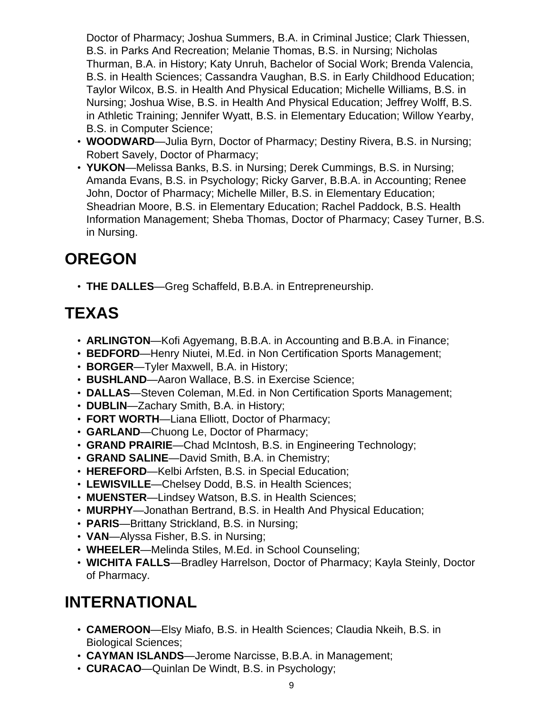Doctor of Pharmacy; Joshua Summers, B.A. in Criminal Justice; Clark Thiessen, B.S. in Parks And Recreation; Melanie Thomas, B.S. in Nursing; Nicholas Thurman, B.A. in History; Katy Unruh, Bachelor of Social Work; Brenda Valencia, B.S. in Health Sciences; Cassandra Vaughan, B.S. in Early Childhood Education; Taylor Wilcox, B.S. in Health And Physical Education; Michelle Williams, B.S. in Nursing; Joshua Wise, B.S. in Health And Physical Education; Jeffrey Wolff, B.S. in Athletic Training; Jennifer Wyatt, B.S. in Elementary Education; Willow Yearby, B.S. in Computer Science;

- **WOODWARD**—Julia Byrn, Doctor of Pharmacy; Destiny Rivera, B.S. in Nursing; Robert Savely, Doctor of Pharmacy;
- **YUKON**—Melissa Banks, B.S. in Nursing; Derek Cummings, B.S. in Nursing; Amanda Evans, B.S. in Psychology; Ricky Garver, B.B.A. in Accounting; Renee John, Doctor of Pharmacy; Michelle Miller, B.S. in Elementary Education; Sheadrian Moore, B.S. in Elementary Education; Rachel Paddock, B.S. Health Information Management; Sheba Thomas, Doctor of Pharmacy; Casey Turner, B.S. in Nursing.

#### **OREGON**

• **THE DALLES**—Greg Schaffeld, B.B.A. in Entrepreneurship.

# **TEXAS**

- **ARLINGTON**—Kofi Agyemang, B.B.A. in Accounting and B.B.A. in Finance;
- **BEDFORD**—Henry Niutei, M.Ed. in Non Certification Sports Management;
- **BORGER**—Tyler Maxwell, B.A. in History;
- **BUSHLAND**—Aaron Wallace, B.S. in Exercise Science;
- **DALLAS**—Steven Coleman, M.Ed. in Non Certification Sports Management;
- **DUBLIN**—Zachary Smith, B.A. in History;
- **FORT WORTH**—Liana Elliott, Doctor of Pharmacy;
- **GARLAND**—Chuong Le, Doctor of Pharmacy;
- **GRAND PRAIRIE**—Chad McIntosh, B.S. in Engineering Technology;
- **GRAND SALINE**—David Smith, B.A. in Chemistry;
- **HEREFORD**—Kelbi Arfsten, B.S. in Special Education;
- **LEWISVILLE**—Chelsey Dodd, B.S. in Health Sciences;
- **MUENSTER**—Lindsey Watson, B.S. in Health Sciences;
- **MURPHY**—Jonathan Bertrand, B.S. in Health And Physical Education;
- **PARIS**—Brittany Strickland, B.S. in Nursing;
- **VAN**—Alyssa Fisher, B.S. in Nursing;
- **WHEELER**—Melinda Stiles, M.Ed. in School Counseling;
- **WICHITA FALLS**—Bradley Harrelson, Doctor of Pharmacy; Kayla Steinly, Doctor of Pharmacy.

# **INTERNATIONAL**

- **CAMEROON**—Elsy Miafo, B.S. in Health Sciences; Claudia Nkeih, B.S. in Biological Sciences;
- **CAYMAN ISLANDS**—Jerome Narcisse, B.B.A. in Management;
- **CURACAO**—Quinlan De Windt, B.S. in Psychology;